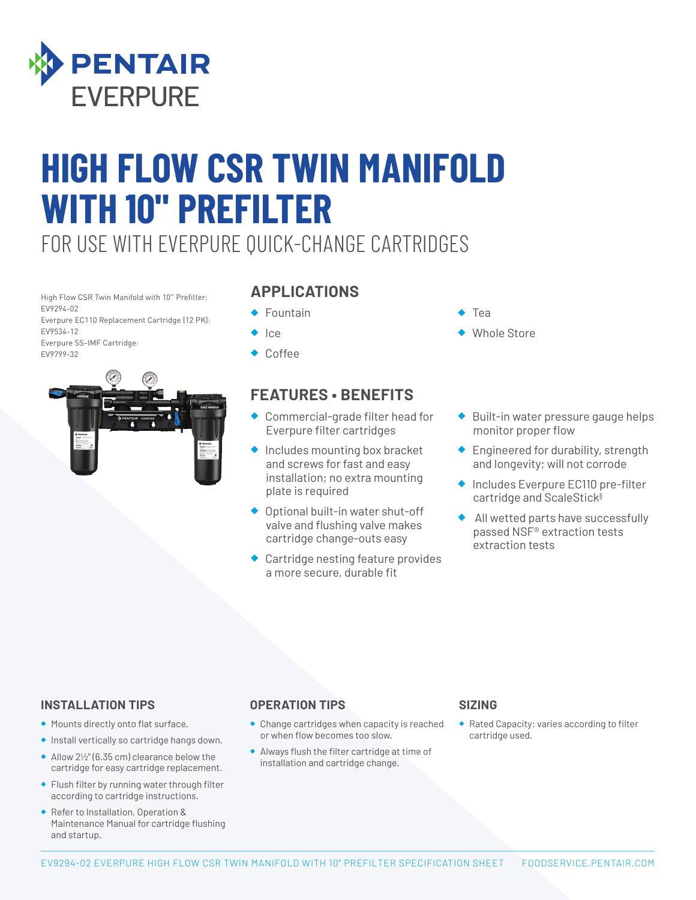

# **HIGH FLOW CSR TWIN MANIFOLD WITH 10" PREFILTER**

FOR USE WITH EVERPURE QUICK-CHANGE CARTRIDGES

High Flow CSR Twin Manifold with 10" Prefilter: EV9294-02 Everpure EC110 Replacement Cartridge (12 PK):

EV9534-12 Everpure SS-IMF Cartridge: EV9799-32



### **APPLICATIONS**

- Fountain
- ◆ Ice
- ◆ Coffee

## **FEATURES • BENEFITS**

- ◆ Commercial-grade filter head for Everpure filter cartridges
- ◆ Includes mounting box bracket and screws for fast and easy installation; no extra mounting plate is required
- ◆ Optional built-in water shut-off valve and flushing valve makes cartridge change-outs easy
- ◆ Cartridge nesting feature provides a more secure, durable fit
- **Tea**
- **Whole Store**
- Built-in water pressure gauge helps monitor proper flow
- ◆ Engineered for durability, strength and longevity; will not corrode
- ◆ Includes Everpure EC110 pre-filter cartridge and ScaleStick§
- All wetted parts have successfully passed NSF® extraction tests extraction tests

### **INSTALLATION TIPS**

- ◆ Mounts directly onto flat surface.
- ◆ Install vertically so cartridge hangs down.
- ◆ Allow 2½" (6.35 cm) clearance below the cartridge for easy cartridge replacement.
- ◆ Flush filter by running water through filter according to cartridge instructions.
- ◆ Refer to Installation, Operation & Maintenance Manual for cartridge flushing and startup.

### **OPERATION TIPS**

- ◆ Change cartridges when capacity is reached or when flow becomes too slow.
- ◆ Always flush the filter cartridge at time of installation and cartridge change.

### **SIZING**

◆ Rated Capacity: varies according to filter cartridge used.